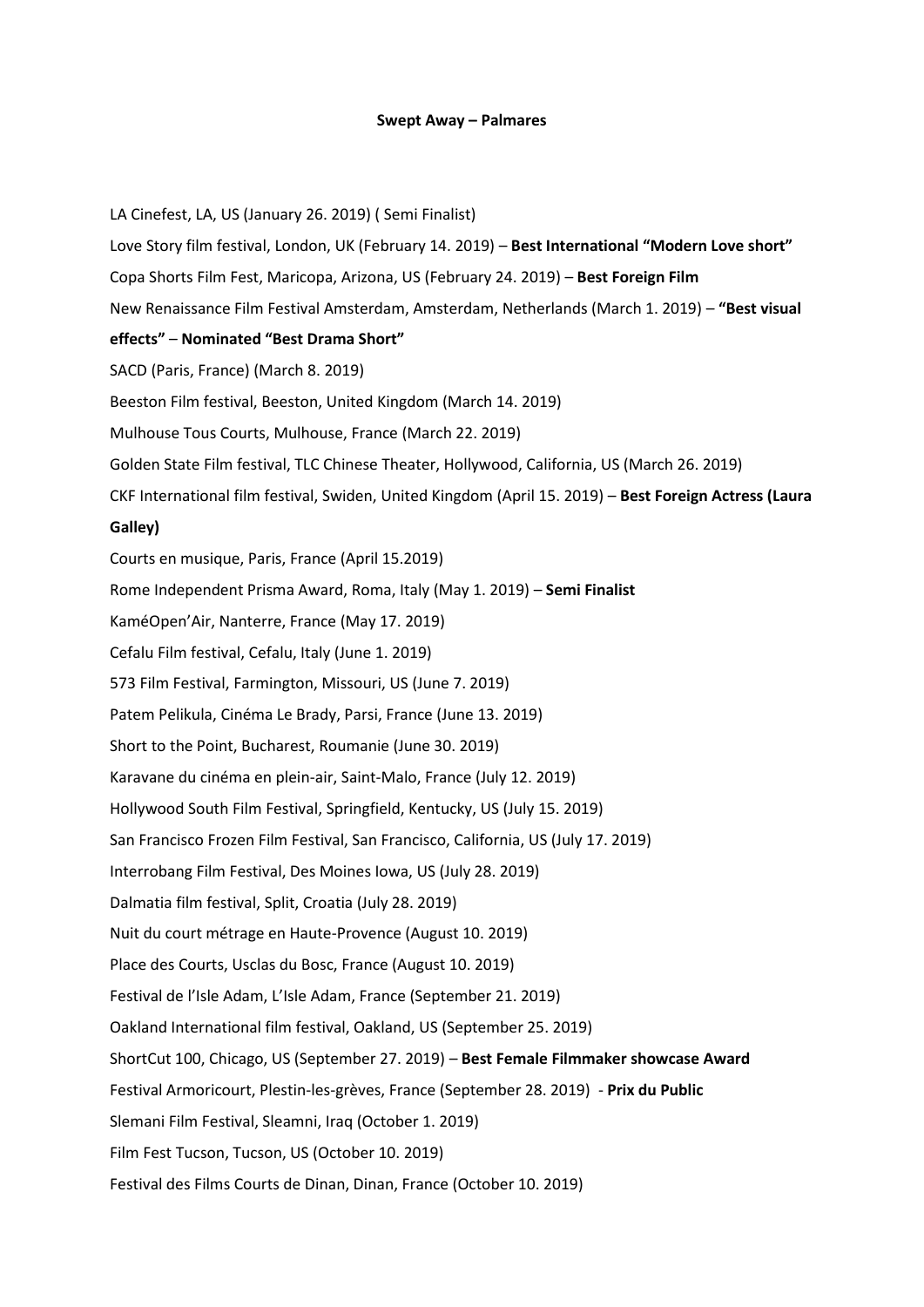## **Swept Away – Palmares**

LA Cinefest, LA, US (January 26. 2019) ( Semi Finalist) Love Story film festival, London, UK (February 14. 2019) – **Best International "Modern Love short"**  Copa Shorts Film Fest, Maricopa, Arizona, US (February 24. 2019) – **Best Foreign Film**  New Renaissance Film Festival Amsterdam, Amsterdam, Netherlands (March 1. 2019) – **"Best visual effects"** – **Nominated "Best Drama Short"**  SACD (Paris, France) (March 8. 2019) Beeston Film festival, Beeston, United Kingdom (March 14. 2019) Mulhouse Tous Courts, Mulhouse, France (March 22. 2019) Golden State Film festival, TLC Chinese Theater, Hollywood, California, US (March 26. 2019) CKF International film festival, Swiden, United Kingdom (April 15. 2019) – **Best Foreign Actress (Laura Galley)**  Courts en musique, Paris, France (April 15.2019) Rome Independent Prisma Award, Roma, Italy (May 1. 2019) – **Semi Finalist**  KaméOpen'Air, Nanterre, France (May 17. 2019) Cefalu Film festival, Cefalu, Italy (June 1. 2019) 573 Film Festival, Farmington, Missouri, US (June 7. 2019) Patem Pelikula, Cinéma Le Brady, Parsi, France (June 13. 2019) Short to the Point, Bucharest, Roumanie (June 30. 2019) Karavane du cinéma en plein-air, Saint-Malo, France (July 12. 2019) Hollywood South Film Festival, Springfield, Kentucky, US (July 15. 2019) San Francisco Frozen Film Festival, San Francisco, California, US (July 17. 2019) Interrobang Film Festival, Des Moines Iowa, US (July 28. 2019) Dalmatia film festival, Split, Croatia (July 28. 2019) Nuit du court métrage en Haute-Provence (August 10. 2019) Place des Courts, Usclas du Bosc, France (August 10. 2019) Festival de l'Isle Adam, L'Isle Adam, France (September 21. 2019) Oakland International film festival, Oakland, US (September 25. 2019) ShortCut 100, Chicago, US (September 27. 2019) – **Best Female Filmmaker showcase Award** Festival Armoricourt, Plestin-les-grèves, France (September 28. 2019) - **Prix du Public** Slemani Film Festival, Sleamni, Iraq (October 1. 2019) Film Fest Tucson, Tucson, US (October 10. 2019) Festival des Films Courts de Dinan, Dinan, France (October 10. 2019)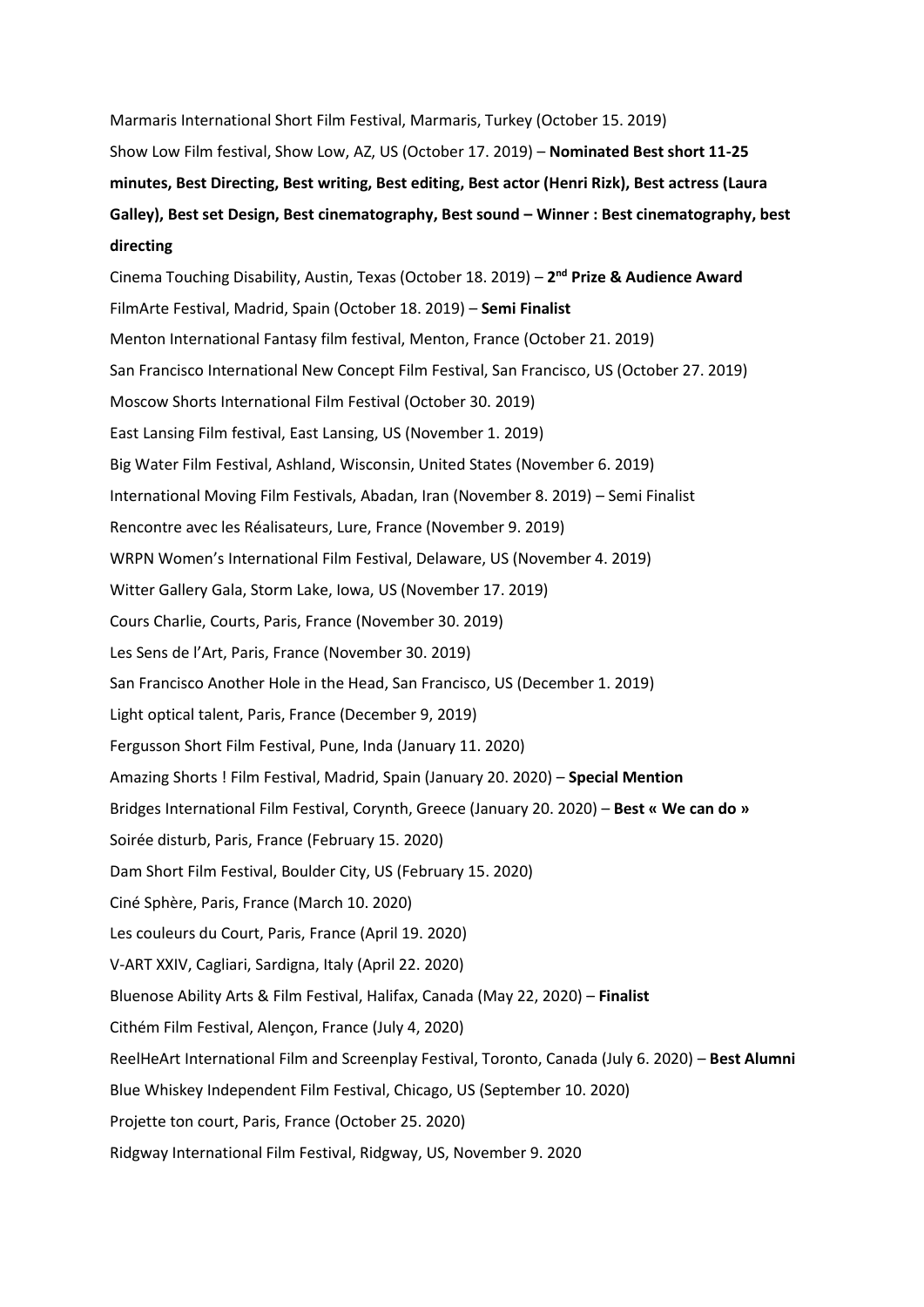Marmaris International Short Film Festival, Marmaris, Turkey (October 15. 2019) Show Low Film festival, Show Low, AZ, US (October 17. 2019) – **Nominated Best short 11-25 minutes, Best Directing, Best writing, Best editing, Best actor (Henri Rizk), Best actress (Laura Galley), Best set Design, Best cinematography, Best sound – Winner : Best cinematography, best directing**

Cinema Touching Disability, Austin, Texas (October 18. 2019) – **2 nd Prize & Audience Award** FilmArte Festival, Madrid, Spain (October 18. 2019) – **Semi Finalist**  Menton International Fantasy film festival, Menton, France (October 21. 2019) San Francisco International New Concept Film Festival, San Francisco, US (October 27. 2019) Moscow Shorts International Film Festival (October 30. 2019) East Lansing Film festival, East Lansing, US (November 1. 2019) Big Water Film Festival, Ashland, Wisconsin, United States (November 6. 2019) International Moving Film Festivals, Abadan, Iran (November 8. 2019) – Semi Finalist Rencontre avec les Réalisateurs, Lure, France (November 9. 2019) WRPN Women's International Film Festival, Delaware, US (November 4. 2019) Witter Gallery Gala, Storm Lake, Iowa, US (November 17. 2019) Cours Charlie, Courts, Paris, France (November 30. 2019) Les Sens de l'Art, Paris, France (November 30. 2019) San Francisco Another Hole in the Head, San Francisco, US (December 1. 2019) Light optical talent, Paris, France (December 9, 2019) Fergusson Short Film Festival, Pune, Inda (January 11. 2020) Amazing Shorts ! Film Festival, Madrid, Spain (January 20. 2020) – **Special Mention** Bridges International Film Festival, Corynth, Greece (January 20. 2020) – **Best « We can do »** Soirée disturb, Paris, France (February 15. 2020) Dam Short Film Festival, Boulder City, US (February 15. 2020) Ciné Sphère, Paris, France (March 10. 2020) Les couleurs du Court, Paris, France (April 19. 2020) V-ART XXIV, Cagliari, Sardigna, Italy (April 22. 2020) Bluenose Ability Arts & Film Festival, Halifax, Canada (May 22, 2020) – **Finalist** Cithém Film Festival, Alençon, France (July 4, 2020) ReelHeArt International Film and Screenplay Festival, Toronto, Canada (July 6. 2020) – **Best Alumni** Blue Whiskey Independent Film Festival, Chicago, US (September 10. 2020) Projette ton court, Paris, France (October 25. 2020) Ridgway International Film Festival, Ridgway, US, November 9. 2020